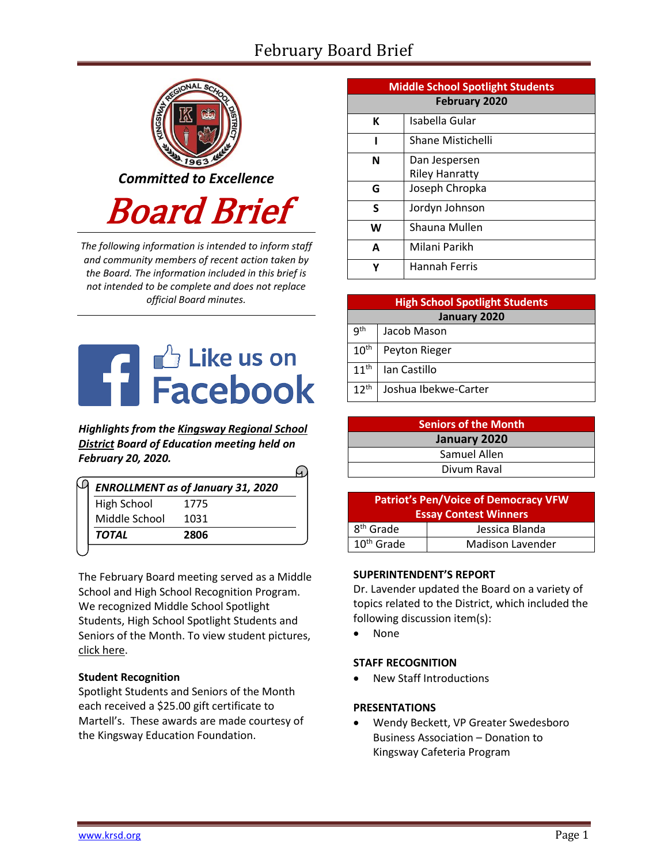# February Board Brief



*The following information is intended to inform staff and community members of recent action taken by the Board. The information included in this brief is not intended to be complete and does not replace official Board minutes.*



*Highlights from the [Kingsway Regional School](https://www.facebook.com/KingswayDragons)  [District](https://www.facebook.com/KingswayDragons) Board of Education meeting held on February 20, 2020.*

| <b>ENROLLMENT as of January 31, 2020</b> |      |  |  |
|------------------------------------------|------|--|--|
| <b>High School</b>                       | 1775 |  |  |
| Middle School                            | 1031 |  |  |
| TOTAL                                    | 2806 |  |  |

The February Board meeting served as a Middle School and High School Recognition Program. We recognized Middle School Spotlight Students, High School Spotlight Students and Seniors of the Month. To view student picture[s,](http://www.krsd.org/Page/1303) [click here.](http://www.krsd.org/Page/1303)

# **Student Recognition**

Spotlight Students and Seniors of the Month each received a \$25.00 gift certificate to Martell's. These awards are made courtesy of the Kingsway Education Foundation.

| <b>Middle School Spotlight Students</b> |                          |  |  |
|-----------------------------------------|--------------------------|--|--|
| <b>February 2020</b>                    |                          |  |  |
| К                                       | Isabella Gular           |  |  |
| ı                                       | <b>Shane Mistichelli</b> |  |  |
| N                                       | Dan Jespersen            |  |  |
|                                         | <b>Riley Hanratty</b>    |  |  |
| G                                       | Joseph Chropka           |  |  |
| S                                       | Jordyn Johnson           |  |  |
| W                                       | Shauna Mullen            |  |  |
| A                                       | Milani Parikh            |  |  |
| γ                                       | Hannah Ferris            |  |  |

| <b>High School Spotlight Students</b> |                      |  |  |  |
|---------------------------------------|----------------------|--|--|--|
| January 2020                          |                      |  |  |  |
| q <sup>th</sup>                       | Jacob Mason          |  |  |  |
| $10^{\text{th}}$                      | Peyton Rieger        |  |  |  |
| 11 <sup>th</sup>                      | lan Castillo         |  |  |  |
| 12 <sup>th</sup>                      | Joshua Ibekwe-Carter |  |  |  |

| <b>Seniors of the Month</b> |  |  |
|-----------------------------|--|--|
| January 2020                |  |  |
| Samuel Allen                |  |  |
| Divum Raval                 |  |  |

| <b>Patriot's Pen/Voice of Democracy VFW</b><br><b>Essay Contest Winners</b> |                  |  |  |  |
|-----------------------------------------------------------------------------|------------------|--|--|--|
| 8 <sup>th</sup> Grade                                                       | Jessica Blanda   |  |  |  |
| $10th$ Grade                                                                | Madison Lavender |  |  |  |

# **SUPERINTENDENT'S REPORT**

Dr. Lavender updated the Board on a variety of topics related to the District, which included the following discussion item(s):

• None

# **STAFF RECOGNITION**

• New Staff Introductions

#### **PRESENTATIONS**

• Wendy Beckett, VP Greater Swedesboro Business Association – Donation to Kingsway Cafeteria Program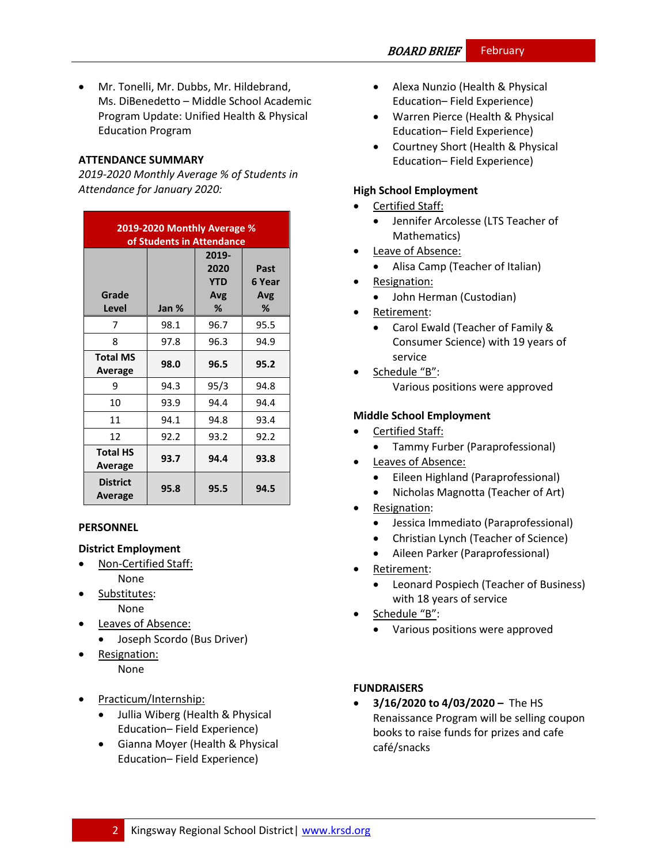• Mr. Tonelli, Mr. Dubbs, Mr. Hildebrand, Ms. DiBenedetto – Middle School Academic Program Update: Unified Health & Physical Education Program

## **ATTENDANCE SUMMARY**

*2019-2020 Monthly Average % of Students in Attendance for January 2020:*

| 2019-2020 Monthly Average %<br>of Students in Attendance |       |                                         |                            |  |
|----------------------------------------------------------|-------|-----------------------------------------|----------------------------|--|
| Grade<br>Level                                           | Jan % | 2019-<br>2020<br><b>YTD</b><br>Avg<br>℅ | Past<br>6 Year<br>Avg<br>℅ |  |
| 7                                                        | 98.1  | 96.7                                    | 95.5                       |  |
| 8                                                        | 97.8  | 96.3                                    | 94.9                       |  |
| <b>Total MS</b><br>Average                               | 98.0  | 96.5                                    | 95.2                       |  |
| 9                                                        | 94.3  | 95/3                                    | 94.8                       |  |
| 10                                                       | 93.9  | 94.4                                    | 94.4                       |  |
| 11                                                       | 94.1  | 94.8                                    | 93.4                       |  |
| 12                                                       | 92.2  | 93.2                                    | 92.2                       |  |
| <b>Total HS</b><br>Average                               | 93.7  | 94.4                                    | 93.8                       |  |
| <b>District</b><br>Average                               | 95.8  | 95.5                                    | 94.5                       |  |

# **PERSONNEL**

#### **District Employment**

- Non-Certified Staff: None
- Substitutes: None
- Leaves of Absence:
	- Joseph Scordo (Bus Driver)
- Resignation: None
- Practicum/Internship:
	- Jullia Wiberg (Health & Physical Education– Field Experience)
	- Gianna Moyer (Health & Physical Education– Field Experience)
- Alexa Nunzio (Health & Physical Education– Field Experience)
- Warren Pierce (Health & Physical Education– Field Experience)
- Courtney Short (Health & Physical Education– Field Experience)

## **High School Employment**

- Certified Staff:
	- Jennifer Arcolesse (LTS Teacher of Mathematics)
- Leave of Absence:
	- Alisa Camp (Teacher of Italian)
- Resignation:
	- John Herman (Custodian)
- Retirement:
	- Carol Ewald (Teacher of Family & Consumer Science) with 19 years of service
- Schedule "B": Various positions were approved

## **Middle School Employment**

- Certified Staff:
	- Tammy Furber (Paraprofessional)
- Leaves of Absence:
	- Eileen Highland (Paraprofessional)
	- Nicholas Magnotta (Teacher of Art)
- Resignation:
	- Jessica Immediato (Paraprofessional)
	- Christian Lynch (Teacher of Science)
	- Aileen Parker (Paraprofessional)
- Retirement:
	- Leonard Pospiech (Teacher of Business) with 18 years of service
- Schedule "B":
	- Various positions were approved

# **FUNDRAISERS**

• **3/16/2020 to 4/03/2020 –** The HS Renaissance Program will be selling coupon books to raise funds for prizes and cafe café/snacks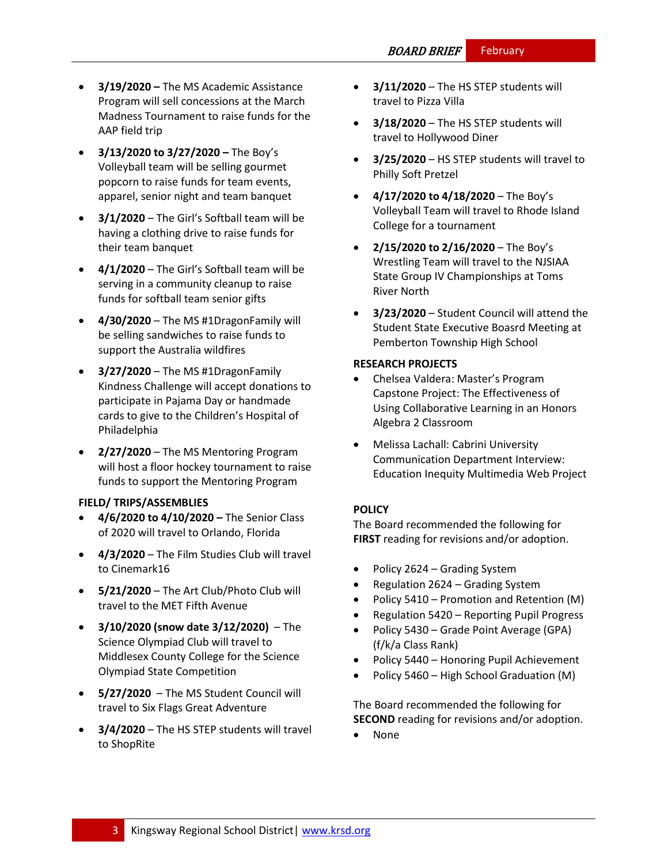- **3/19/2020 –** The MS Academic Assistance Program will sell concessions at the March Madness Tournament to raise funds for the AAP field trip
- **3/13/2020 to 3/27/2020 –** The Boy's Volleyball team will be selling gourmet popcorn to raise funds for team events, apparel, senior night and team banquet
- **3/1/2020** The Girl's Softball team will be having a clothing drive to raise funds for their team banquet
- **4/1/2020** The Girl's Softball team will be serving in a community cleanup to raise funds for softball team senior gifts
- **4/30/2020** The MS #1DragonFamily will be selling sandwiches to raise funds to support the Australia wildfires
- **3/27/2020** The MS #1DragonFamily Kindness Challenge will accept donations to participate in Pajama Day or handmade cards to give to the Children's Hospital of Philadelphia
- **2/27/2020** The MS Mentoring Program will host a floor hockey tournament to raise funds to support the Mentoring Program

#### **FIELD/ TRIPS/ASSEMBLIES**

- **4/6/2020 to 4/10/2020 –** The Senior Class of 2020 will travel to Orlando, Florida
- **4/3/2020** The Film Studies Club will travel to Cinemark16
- **5/21/2020** The Art Club/Photo Club will travel to the MET Fifth Avenue
- **3/10/2020 (snow date 3/12/2020)** The Science Olympiad Club will travel to Middlesex County College for the Science Olympiad State Competition
- **5/27/2020**  The MS Student Council will travel to Six Flags Great Adventure
- **3/4/2020** The HS STEP students will travel to ShopRite
- **3/11/2020** The HS STEP students will travel to Pizza Villa
- **3/18/2020** The HS STEP students will travel to Hollywood Diner
- **3/25/2020** HS STEP students will travel to Philly Soft Pretzel
- **4/17/2020 to 4/18/2020** The Boy's Volleyball Team will travel to Rhode Island College for a tournament
- **2/15/2020 to 2/16/2020** The Boy's Wrestling Team will travel to the NJSIAA State Group IV Championships at Toms River North
- **3/23/2020** Student Council will attend the Student State Executive Boasrd Meeting at Pemberton Township High School

#### **RESEARCH PROJECTS**

- Chelsea Valdera: Master's Program Capstone Project: The Effectiveness of Using Collaborative Learning in an Honors Algebra 2 Classroom
- Melissa Lachall: Cabrini University Communication Department Interview: Education Inequity Multimedia Web Project

# **[POLICY](http://www.straussesmay.com/seportal/Public/DistrictPolicyTOC.aspx?id=f0cc945ef3894b8d9ad5f87d948ca425&PolicyID=)**

The Board recommended the following for **FIRST** reading for revisions and/or adoption.

- Policy 2624 Grading System
- Regulation 2624 Grading System
- Policy 5410 Promotion and Retention (M)
- Regulation 5420 Reporting Pupil Progress
- Policy 5430 Grade Point Average (GPA) (f/k/a Class Rank)
- Policy 5440 Honoring Pupil Achievement
- Policy 5460 High School Graduation (M)

The Board recommended the following for **SECOND** reading for revisions and/or adoption.

• None